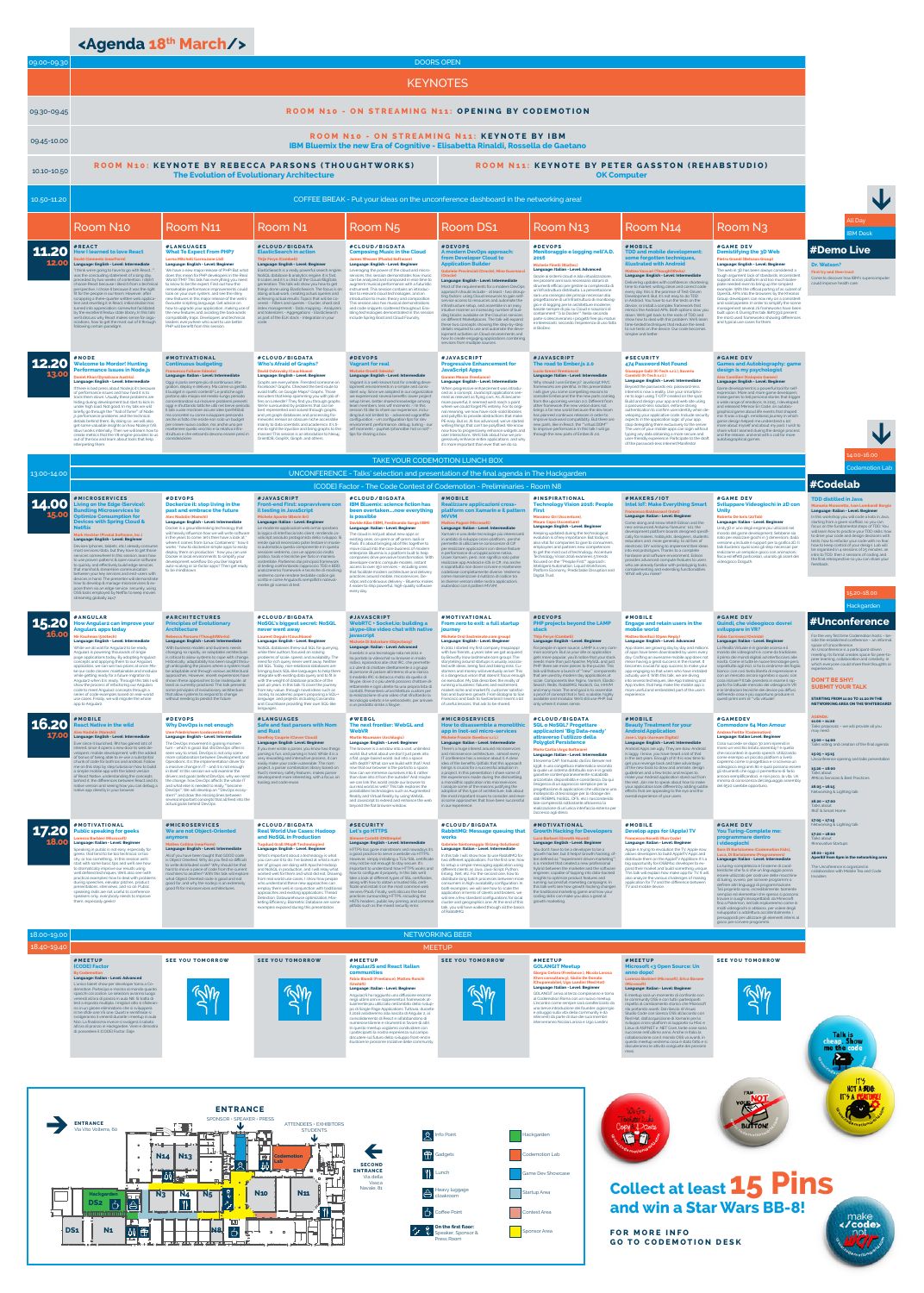SPONSOR • SPEAKER • PRESS  $\rightarrow$ **ENTRANCE** ATTENDEES • EXHIBITORS Via Vito Volterra, 60 STUDENTS **Point** ੱ  $\bullet$  $\leftarrow$ Gadgets **N14 N13** |麗  $\bullet$ **Codemotion**   $\,$   $\,$ **Lab**



**SECOND** 

Hackgarden **Codemotion Lab** 



## **<Agenda 18th March/>**

|                                                                                                                                                                                                                                                                                                                                                                                            | between your key services and end-users with<br>devices in hand. The presenter will demonstrate<br>how to develop & manage microservices & ex-<br>pose them via an edge service, securely, using<br>OSS tools employed by Netflix to keep movies<br>streaming globally 24x7.                                                                                                                                                                                                                                                                                                                                                                                                                                                                                                  | ) De minablowi                                                                                                                                                                                                                                                                                                                                                                                                                                                                                                                                                                                                                                                                                                                                                                                               | anauzzeremo framework e tecniche di mockin<br>vedremo come rendere testabile codice già<br>scritto e come AngularJS semplifichi notevol-<br>mente gli scenari di test.                                                                                                                                                                                                                                                                                                                                                                                                                                                                                                                                                                                                                                               | that facilitate modern architecture and delivery<br>practices around mobile, microservices, De-<br>vOps and continuous delivery - Bluemix makes<br>it easier to ship powerful, high-quality software<br>every day.                                                                                                                                                                                                                                                                                                                                                                                                                                                                                                                                                                      | codebase completamente diverse. Vedremo<br>come massimizzare il riutilizzo di codice tra<br>le diverse versioni delle nostra applicazioni,<br>aiutandoci con il pattern MVVM.                                                                                                                                                                                                                                                                                                                                                                                                                                                                                                                                                                                                                                      | Platform Economy. Predictable Disruption and<br>Digital Trust.                                                                                                                                                                                                                                                                                                                                                                                                                                                                                                                                                                                                                                                                                                                                                 | son promonenty and oxtonium y rambelomate.<br>What will you make?                                                                                                                                                                                                                                                                                                                                                                                                                                                                                                                                                                                                                                                                                                    |                                                                                                                                                                                                                                                                                                                                                                                                                                                                                                                                                                                                                                                                                                                                                                                                                                                          | 15.20-18.00<br>Hackgarden                                                                                                                                                                                                                                                                                                                                                                                                                                                           |  |
|--------------------------------------------------------------------------------------------------------------------------------------------------------------------------------------------------------------------------------------------------------------------------------------------------------------------------------------------------------------------------------------------|-------------------------------------------------------------------------------------------------------------------------------------------------------------------------------------------------------------------------------------------------------------------------------------------------------------------------------------------------------------------------------------------------------------------------------------------------------------------------------------------------------------------------------------------------------------------------------------------------------------------------------------------------------------------------------------------------------------------------------------------------------------------------------|--------------------------------------------------------------------------------------------------------------------------------------------------------------------------------------------------------------------------------------------------------------------------------------------------------------------------------------------------------------------------------------------------------------------------------------------------------------------------------------------------------------------------------------------------------------------------------------------------------------------------------------------------------------------------------------------------------------------------------------------------------------------------------------------------------------|----------------------------------------------------------------------------------------------------------------------------------------------------------------------------------------------------------------------------------------------------------------------------------------------------------------------------------------------------------------------------------------------------------------------------------------------------------------------------------------------------------------------------------------------------------------------------------------------------------------------------------------------------------------------------------------------------------------------------------------------------------------------------------------------------------------------|-----------------------------------------------------------------------------------------------------------------------------------------------------------------------------------------------------------------------------------------------------------------------------------------------------------------------------------------------------------------------------------------------------------------------------------------------------------------------------------------------------------------------------------------------------------------------------------------------------------------------------------------------------------------------------------------------------------------------------------------------------------------------------------------|--------------------------------------------------------------------------------------------------------------------------------------------------------------------------------------------------------------------------------------------------------------------------------------------------------------------------------------------------------------------------------------------------------------------------------------------------------------------------------------------------------------------------------------------------------------------------------------------------------------------------------------------------------------------------------------------------------------------------------------------------------------------------------------------------------------------|----------------------------------------------------------------------------------------------------------------------------------------------------------------------------------------------------------------------------------------------------------------------------------------------------------------------------------------------------------------------------------------------------------------------------------------------------------------------------------------------------------------------------------------------------------------------------------------------------------------------------------------------------------------------------------------------------------------------------------------------------------------------------------------------------------------|----------------------------------------------------------------------------------------------------------------------------------------------------------------------------------------------------------------------------------------------------------------------------------------------------------------------------------------------------------------------------------------------------------------------------------------------------------------------------------------------------------------------------------------------------------------------------------------------------------------------------------------------------------------------------------------------------------------------------------------------------------------------|----------------------------------------------------------------------------------------------------------------------------------------------------------------------------------------------------------------------------------------------------------------------------------------------------------------------------------------------------------------------------------------------------------------------------------------------------------------------------------------------------------------------------------------------------------------------------------------------------------------------------------------------------------------------------------------------------------------------------------------------------------------------------------------------------------------------------------------------------------|-------------------------------------------------------------------------------------------------------------------------------------------------------------------------------------------------------------------------------------------------------------------------------------------------------------------------------------------------------------------------------------------------------------------------------------------------------------------------------------|--|
| <b>15.20</b>                                                                                                                                                                                                                                                                                                                                                                               | <b>#ANGULAR</b><br>How Angular2 can improve your<br>Angular1 apps today<br>Nir Kaufman (500tech)<br>Language: English - Level: Intermediate<br>While we all wait for Angular <sub>2</sub> to be ready,<br>Angular1 is powering thousands of single<br>page applications today. By adopting Angular2<br>concepts and applying them to our Angular1<br>application, we can win two prizes at once: Ma-<br>ke our code cleaner, maintainable and modular<br>while getting ready for a future migration to<br>Angular2 when it is ready. Through this talk I will<br>show the process of refactoring our Angular1<br>code to meet Angular2 concepts through a<br>series of code examples based on real-world<br>use cases. Finally, we will migrate the whole<br>app to Angular2. | <b>#ARCHITECTURES</b><br><b>Principles of Evolutionary</b><br><b>Architecture</b><br>Rebecca Parsons (ThoughtWorks)<br>Language: English - Level: Intermediate<br>With business models and business needs<br>changing so rapidly, an adaptable architecture<br>is critical to allow systems to cope with change.<br>Historically, adaptability has been sought throu-<br>gh anticipating the places where a system must<br>be adaptable and through various architectural<br>approaches. However, recent experiences have<br>shown these approaches to be inadequate, at<br>least as currently practiced. This talk presents<br>some principles of evolutionary architecture<br>that allow systems to respond to change<br>without needing to predict the future.                                            | #CLOUD/BIGDATA<br><b>NoSQL's biggest secret: NoSQL</b><br>never went away<br><b>Laurent Doguin (Couchbase)</b><br>Language: English - Level: Beginner<br>NoSQL databases threw out SQL for querying,<br>while their authors focused on solving<br>problems of scale, speed, and availability. The<br>need for rich query never went away. Neither<br>did SQL. Today, non-relational databases are<br>bringing back SQL-like languages to help them<br>integrate with existing data query and to fit in<br>with the weight of database practice of the<br>past 40 years. In this talk I'll cover the journey<br>from key-value, through novel ideas such as<br>Jsoniq, to academic papers proposing a SQL++<br>language, and projects including Cassandra<br>and Couchbase providing their own SQL-like<br>languages. | #JAVASCRIPT<br>WebRTC + Socket.io: building a<br>skype-like video chat with native<br>avascript<br><b>Michele Di Salvatore (Objectway)</b><br>Language: Italian - Level: Advanced<br>l webrtc è una tecnologia nata nel 2011 e<br>ha portato la videochat su browser in modo<br>nativo, ispirandosi alle chat IRC, che permette<br>a 2 utenti di chattare direttamente o a gruppi<br>di persone di parlare all'interno di una stanza.<br>Il modello IRC si distacca molto da quello di<br>Skype, dove 2 o più utenti possono chattare di-<br>rettamente e ogni utente ha una propria lista di<br>contatti. Presenterò un'architettura custom per<br>a realizzazione di una video chat sfruttando la<br>tecnologia webrtc e le websockets, per arrivare<br>a un prodotto simile a Skype. | #MOTIVATIONAL<br>From zero to exit: a full startup<br>journey<br>Michele Orsi (lastminute.com group)<br>Language: English - Level: Beginner<br>In 2011 I started my first company (map2app)<br>with two friends, 4 years later we got acquired<br>by Bravofly (now lastminute.com group). The<br>storytelling around startups is usually associa-<br>ted with ideas, being fool and taking risks. Cu-<br>stomers and money will eventually arrive! This<br>is a dangerous vision that doesn't focus enough<br>on execution. My talk describes the reality of<br>running a business: failures and excitement,<br>market niche and market fit, customer satisfac-<br>tion and business growth. From Bologna to San<br>Francisco and back to Switzerland I learnt a lot<br>of useful lessons, that ask to be shared.  | #DEVOPS<br><b>PHP projects beyond the LAMP</b><br><b>Thijs Feryn (Combell)</b><br>Language: English - Level: Beginner<br>For people in open source, LAMP is a very com-<br>mon acronym. But as your site or application<br>gets more popular, you'll notice that your stack<br>needs more than just Apache, MySQL and just<br>PHP: there are more pieces to the puzzle. This<br>talk will feature a bunch of ""new"" components<br>that are used by modern day applications at<br>scale. Components like: Nginx, Varnish, Elastic-<br>Search, Redis, RabbitMQ, NodeJS, Go, HHVM<br>and many more. The end goal is to assemble<br>a proof of concept that is fast, scalable, highly<br>available and modular. We'll still use PHP, but<br>only where it makes sense.                                            | #MOBILE<br><b>Engage and retain users in the</b><br>mobile world<br><b>Matteo Bonifazi (Open Reply)</b><br>Language: English - Level: Advanced<br>App stores are growing day by day and million<br>of apps have been downloaded by users every<br>day. Crafting an awesome mobile app does not<br>mean having a great success in the market. It<br>becomes crucial for app success to make your<br>app engaging so that users who have installed<br>actually use it. With this talk, we are diving<br>into several techniques, like App Indexing and<br>App Invites, that help make the mobile app a<br>more useful and embedded part of the user's<br>experience.                                                                                                   | #GAME DEV<br>Quindi, che videogioco dovrei<br>sviluppare in VR?<br><b>Fabio Corrirossi (Oniride)</b><br>Language: Italian - Level: Beginner<br>La Realtà Virtuale è in grande ascesa e il<br>mondo dei videogiochi è, come da tradizione,<br>il primo dei mondi digitali ad interfacciarsi alle<br>novità. Come in tutte le nuove tecnologie però,<br>soprattutto agli inizi, si ha la sindrome del foglio<br>bianco: con così tanta libertà di espressione e<br>con un mercato ancora sgombro o quasi, con<br>cosa iniziare?! Il talk prenderà in esame il rap-<br>porto fra l'attuale mercato dei videogiochi VR<br>e le limitazioni tecniche dei device più diffusi,<br>definendo cosa è più opportuno produrre in<br>questi primi anni di ""vita virtuale"                                                                                           | #Unconference<br>For the very first time Codemotion hosts - be-<br>side the established conference - an informal<br>space of Unconference.<br>An Unconference is a participant-driven<br>meeting. Its format creates space for peer-to-<br>peer learning, collaboration and creativity, in<br>which everyone could share their thoughts or<br>experiences.<br>DON'T BE SHY!<br><b>SUBMIT YOUR TALK</b><br>STARTING FROM 11:00 TO 11:20 IN THE<br>NETWORKING AREA ON THE WHITEBOARD! |  |
| <b>16.20</b>                                                                                                                                                                                                                                                                                                                                                                               | #MOBILE<br><b>React Native in the wild</b><br><b>Lex Nadalin (Namshi)</b><br>Language: English - Level: Intermediate<br>Ever since it launched, RN has gained lots of<br>interest since it opens a new door to web de-<br>velopers: mobile development, with the added<br>of bonus of being able to re-use a substantial<br>chunk of code for both ios and android. Follow<br>me on this step by step tutorial on how to build<br>a simple mobile app with the latest version<br>of React Native, understanding the concepts<br>behind it, the differences between React and its<br>native version and seeing how you can debug a<br>native app directly in your browser.                                                                                                     | #DEVOPS<br><b>Why DevOps is not enough</b><br><b>Uwe Friedrichsen (codecentric AG)</b><br>Language: English - Level: Intermediate<br>The DevOps movement is gaining momen-<br>tum - which is good. But still DevOps often is<br>seen way to small. DevOps is not only some<br>more collaboration between Development and<br>Operations. It is the implementation driver for<br>a massive change in IT - and it is not enough<br>in itself. In this session we will examine the<br>drivers and goals behind DevOps, why we need<br>the change, how DevOps affects the whole IT<br>and what else is needed to really ""become<br>DevOps"". We will develop an ""DevOps ecosy-<br>stem"" and draw the missing lines between<br>several important concepts that all feed into the<br>actual goals behind DevOps. | <b>#LANGUAGES</b><br><b>Safe and fast parsers with Nom</b><br>and Rust<br>Geoffroy Couprie (Clever Cloud)<br><b>Language: English Level: Beginner</b><br>If you ever wrote a parser, you know two things:<br>parsing is fun, and parsing is hard. While it is a<br>very rewarding and interactive process, it can<br>easily make your code vulnerable. The nom<br>project, a parser combinators library based on<br>Rust's memory safety features, makes parser<br>development more interesting, with a focus on<br>tooling and code reuse.                                                                                                                                                                                                                                                                          | #WEBGL<br>The next frontier: WebGL and<br><b>WebVR</b><br><b>Martin Naumann (Archilogic)</b><br>Language: English - Level: Beginner<br>The browser is a window into a vast, unlimited<br>world. But what about we don't just peek into<br>a flat, page-based world, but into a space<br>with depth? What can we build with that? And<br>now that our browser is the portal to a space,<br>how can we immerse ourselves into it, rather<br>than stare into it from the outside? And maybe<br>we can link this world inside our browser to<br>our real world as well? This talk explores the<br>possibilities technologies such as Augmented<br>Reality and Virtual Reality by using WebGL<br>and Javascript to extend and enhance the web<br>beyond the flat browser window.             | <b>#MICROSERVICES</b><br><b>How to disassemble a monolith</b><br>app in (not-so) micro-services<br>Michele Franzin (SeeSaw s.r.l.)<br>Language: Italian - Level: Intermediate<br>There's a huge interest around microservices<br>and microservice architecture almost every<br>IT conference has a session about it. A clear<br>idea of the benefits/pitfalls that this approach<br>brings is crucial for a successful adoption in<br>a project. In this presentation I share some of<br>the experiences made during the dismantling<br>a monolithic application into microservices.<br>I analyze some of the reasons justifying the<br>adoption of this type of architecture, talk about<br>the most important issues to consider and reve-<br>al some approaches that have been successful<br>in our experience. | #CLOUD/BIGDATA<br><b>SQL o NoSQL? Progettare</b><br>applicazioni 'Big Data-ready'<br>attraverso l'utilizzo della<br><b>Polyglot Persistence</b><br><b>Mario Cartia (Argo Software)</b><br>Language: Italian - Level: Intermediate<br>Il teorema CAP, formulato da Eric Brewer nel<br>1998, è una congettura matematica secondo<br>la quale un sistema distribuito non è in grado<br>garantire contemporaneamente scalabilità<br>orizzontale, disponibilità e consistenza. Da qui<br>l'esigenza di un approccio semplice per la<br>progettazione di applicazioni che utilizzano una<br>molteplicità di tecnologie per lo storage dei<br>dati (RDBMS, NoSQL, DFS, etc.) nascondendo<br>tale complessità sottostante attraverso la<br>realizzazione di un'unica interfaccia esterna per<br>l'accesso agli stessi. | #MOBILE<br><b>Beauty Treatment for your</b><br><b>Android Application</b><br><b>Jose L Ugia (Aureum Digital)</b><br>Language: English - Level: Intermediate<br>Android Apps are ugly. They are slow. Android<br>is laggy. I know, you have heard a lot of that<br>in the last years. Enough of it! It is now time to<br>get your revenge back and take advantage<br>of the new tools to draw and animate, design<br>guidelines and a few tricks and recipes to<br>make your Android application stand out from<br>the rest. Join me to speak about how to make<br>your application look different by adding subtle<br>effects that are appealing to the eye and the<br>overall experience of your users                                                              | #GAMEDEV<br><b>Commodore 64 Mon Amour</b><br><b>Andrea Ferlito (Codemotion)</b><br>Language: Italian Level: Beginner<br>Cosa succede se dopo 30 anni riprendi in<br>mano un vecchio listato assembly? è quello<br>che racconterò in questo speech. Utilizzando<br>come esempio un piccolo platform a livelli<br>capiremo come si progettava e si scriveva un<br>videogioco negi anni 80 e quali possono essere<br>gli strumenti che oggi ci permettono di farlo<br>ancora semplificandoci, e non poco, la vita. Un<br>minimo di conoscenza del linguaggio assembly<br>del 6510 sarebbe opportuno.                                                                                                                                                                                                                                                        | <b>AGENDA:</b><br>$11:00 - 11:20$<br>Talks proposals - we will provide all you<br>may need<br>$13:00 - 14:00$<br>Talks voting and creation of the final agenda<br>$15:05 - 15:15$<br>Unconference opening and talks presentation<br>$15:20 - 16:00$<br>Talks about<br>#Micro Services & Best Practices<br>$16:05 - 16:15$<br>Networking & Lighting talk<br>$16:20 - 17:00$<br>Talks about<br>#IoT & Smart Home                                                                      |  |
| 17.20                                                                                                                                                                                                                                                                                                                                                                                      | #MOTIVATIONAL<br><b>Public speaking for geeks</b><br><b>Lorenzo Barbieri (Microsoft)</b><br>Language: Italian - Level: Beginner<br>Speaking in public is not easy, especially for<br>geeks, that tend to be too technical, or too<br>shy, or too something In this session we'll<br>start with some basic tips and we ill see now<br>to dramatically improve our results using<br>well defined techniques. We'll also see (with<br>practical examples) how to deal with problems<br>during speeches, elevator pitches, product<br>presentations, interviews, and so on. Public<br>speaking skills are not useful to conference<br>speakers only, everybody needs to improve<br>them, especially geeks!                                                                        | <b>#MICROSERVICES</b><br>We are not Object-Oriented<br>anymore<br><b>Matteo Collina (nearForm)</b><br>Language: English - Level: Intermediate<br>All of you have been taught that GOOD code<br>is Object Oriented. Why do you find so difficult<br>to write distributed code? Why should be that<br>hard to move a piece of code from the current<br>machines to another? With this talk will explore<br>what Object Oriented code is good and not<br>good for, and why the node is is an extremely<br>good fit for microservices architectures.                                                                                                                                                                                                                                                             | #CLOUD/BIGDATA<br><b>Real World Use Cases: Hadoop</b><br>and NoSQL in Production<br><b>Tugdual Grall (MapR Technologies)</b><br>Language: English - Level: Beginner<br>What's important about a technology is what<br>you can use it to do. I've looked at what a num-<br>ber of groups are doing with Apache Hadoop<br>and NoSQL in production, and I will relay what<br>worked well for them and what did not. Drawing<br>from real world use cases. I show how people<br>who understand these new approaches can<br>employ them well in conjunction with traditional<br>approaches and existing applications. Thread<br>Detection, Datawarehouse optimization, Mar-<br>keting Efficiency, Biometric Database are some<br>examples exposed during this presentation.                                               | #SECURITY<br>Let's go HTTPS<br><b>Simone Carletti (DNSimple)</b><br>Language: English - Level: Intermediate<br>HTTPS has gone mainstream and nowadays it'<br>a good practice to serve a website via HTTPS.<br>However, simply installing a TLS/SSL certificate<br>nay not be not enough to stay secure. It's<br>mportant to understand how HTTPS works and<br>how to configure it properly. In this talk we'll<br>take a look at different types of SSL certificates,<br>along with how to obtain a trusted SSL certi-<br>ficate and install it on the most common web<br>servers/PaaS. Finally, we'll discuss the best<br>practices surrounding HTTPS, including the<br>HSTS headers, public key pinning, and common<br>pitfalls such as the mixed security error.                     | #CLOUD/BIGDATA<br><b>RabbitMQ: Message queuing that</b><br>works<br><b>Gabriele Santomaggio (Erlang-Solutions)</b><br>Language: Italian - Level: Intermediate<br>In this talk I will show how to use RabbitMQ for<br>two different applications. For the first one, how<br>to setup a simple messaging application using<br>different clients as Java, Java-Script, Python,<br>Erlang, .Net, etc. For the second one, how to<br>distribute long batch processes between more<br>consumers in high-availability configuration. In<br>both examples, we will see how to scale the<br>application in terms of clients and brokers, we<br>will see a few standard configurations for local<br>cluster and geographics one. At the end of this<br>talk, you will have walked through all the basics<br>of RabbitMQ.     | #MOTIVATIONAL<br><b>Growth Hacking for Developers</b><br>Luca Barboni (Growth Hound)<br><b>Language: English - Level: Beginner</b><br>You don't have to be a developer to be a<br>growth hacker, but it helps! Growth hacking, of-<br>ten defined as ""experiment-driven marketing"",<br>s a mindset that created a new professional<br>hybrid between the marketer and the software<br>engineer, capable of tapping into data-backed<br>nsights to optimize product features and<br>unning successfull marketing campaigns. In<br>this talk we'll see how growth hacking changes<br>he traditional marketing game and how your<br>oding skills can make you also a great at<br>growth marketing.                                                                                                              | #MOBILE<br><b>Develop apps for (Apple) TV</b><br><b>Francesco Novelli (Run Code)</b><br>Language: Italian - Level: Beginner<br>Apple is trying to revolution the TV. Apple now<br>allows developers to build AppleTV Apps and<br>distribute them on the AppleTV AppStore. It's a<br>big opportunity for iOS&Mac developer to ex<br>pand their market and build something unique.<br>This talk will explain how make app for TV. It will<br>also analyze the various challenges of making<br>application for TV and the difference between<br>TV and mobile device.                                                                                                                                                                                                   | #GAME DEV<br><b>You Turing-Complete me:</b><br>programmare dentro<br>i videogiochi<br>Sara Di Bartolomeo (Codemotion Kids),<br>Luca. Di Bartolomeo (Programmers)<br>Language: Italian - Level: Intermediate<br>La turing-completezza è l'insieme di carat-<br>teristiche che fa sì che un linguaggio possa<br>essere utilizzato per costruire delle macchine<br>di turing, ovvero, per scrivere programmi o<br>definire altri linguaggi di programmazione.<br>Tali proprietà sono, incredibilmente, talmente<br>semplici ed elementari che spesso si possono<br>trovare in luoghi insospettabili: da Minecraft<br>fino a Pokémon, nel talk esploreremo come in<br>molti videogiochi si abbiano, per volere degli<br>sviluppatori o addirittura accidentalmente, i<br>presupposti per utilizzare gli elementi interni al<br>gioco per scrivere programmi. | $17:05 - 17:15$<br>Networking & Lighting talk<br>$17:20 - 18:00$<br>Talks about<br>#Innovative Startups<br>$18:00 - 19:00$<br>Aperitif from 6pm in the networking area<br>The Uncoference is organized in<br>collaboration with Mobile Tea and Code<br><b>Invaders</b>                                                                                                                                                                                                              |  |
| 18.00-19.00                                                                                                                                                                                                                                                                                                                                                                                |                                                                                                                                                                                                                                                                                                                                                                                                                                                                                                                                                                                                                                                                                                                                                                               |                                                                                                                                                                                                                                                                                                                                                                                                                                                                                                                                                                                                                                                                                                                                                                                                              |                                                                                                                                                                                                                                                                                                                                                                                                                                                                                                                                                                                                                                                                                                                                                                                                                      |                                                                                                                                                                                                                                                                                                                                                                                                                                                                                                                                                                                                                                                                                                                                                                                         | <b>NETWORKING BEER</b>                                                                                                                                                                                                                                                                                                                                                                                                                                                                                                                                                                                                                                                                                                                                                                                             |                                                                                                                                                                                                                                                                                                                                                                                                                                                                                                                                                                                                                                                                                                                                                                                                                |                                                                                                                                                                                                                                                                                                                                                                                                                                                                                                                                                                                                                                                                                                                                                                      |                                                                                                                                                                                                                                                                                                                                                                                                                                                                                                                                                                                                                                                                                                                                                                                                                                                          |                                                                                                                                                                                                                                                                                                                                                                                                                                                                                     |  |
| 18.40-19.40                                                                                                                                                                                                                                                                                                                                                                                | #MEETUP<br><b>(CODE) Factor</b><br><b>By Codemotion</b><br>Language: Italian - Level: Advanced<br>L'unico talent show per developer torna a Co-<br>demotion. Partecipa e mostra al mondo quanto<br>spacchi col codice. Le selezioni avranno luogo<br>venerdi all'ora di pranzo in aula N8. Si tratta di<br>test a risposta multipla. I migliori otto si sfideran-<br>no in un girone eliminatorio che si svilupperà<br>in tre sfide one VS one. Quarti e semifinale si<br>svolgeranno il venerdi durante i meetup in aula<br>N10. La finalissima invece si svolgerà il sabato<br>all'ora di pranzo in Hackgarden. Vieni e dimostra<br>di possedere il (CODE) Factor. Daje                                                                                                     | <b>SEE YOU TOMORROW</b>                                                                                                                                                                                                                                                                                                                                                                                                                                                                                                                                                                                                                                                                                                                                                                                      | <b>SEE YOU TOMORROW</b>                                                                                                                                                                                                                                                                                                                                                                                                                                                                                                                                                                                                                                                                                                                                                                                              | #MEETUP<br><b>AngularJS and React Italian</b><br>communities<br><b>Fabio Biondi (Freelance), Matteo Ronchi</b><br>(Unshift)<br>Language: Italian - Level: Beginner<br>AngularJS ha raggiunto una diffusione enorme<br>negli ultimi anni e rappresenta il framework at-<br>tualmente più utilizzato nell'ambito dello svilup-<br>po di Single Page Applications. Tuttavia, durante<br>il 2016 assisteremo alla nascita di Angular 2, al<br>consolidamento di React e all'abbandono di<br>numerose librerie e strumenti in favore di altri.<br>In questo meetup vogliamo condividere con<br>i partecipanti la nostra esperienza sul campo,<br>discutere sul futuro dello sviluppo front-end e<br>illustrare le prossime iniziative delle community.                                       | <b>MEETUP</b><br><b>SEE YOU TOMORROW</b>                                                                                                                                                                                                                                                                                                                                                                                                                                                                                                                                                                                                                                                                                                                                                                           | #MEETUP<br><b>GOLANGIT Meetup</b><br>Giorgio Cefaro (Freelance), Nicola Larosa<br>(Own consultancy), Giulio De Donato<br>(Chupamobile), Ugo Landini (Red Hat)<br>Language: Italian - Level: Beginner<br>GOLANGIT arriva al terzo compleanno e torna<br>al Codemotion Roma con un nuovo meetup.<br>L'incontro come sempre sarà caratterizzato da<br>una breve introduzione dei founder @giorrrgio<br>e @liuggio sulla vita della community e da<br>interventi da parte di due dei suoi membri:<br>interverranno Nicola Larosa e Ugo Landini.                                                                                                                                                                                                                                                                    | #MEETUP<br>Microsoft <3 Open Source: Un<br>anno dopo!<br>Lorenzo Barbieri (Microsoft), Erica Barone<br>Microsoft)<br>Language: Italian - Level: Beginner<br>Il meetup sarà un momento di confronto con<br>le community OSS e con tutti i partecipanti<br>rispetto al cambiamento storico che Microsoft<br>sta portando avanti. Dal rilascio di Visual<br>Studio Code con licenza OSS all'accordo con<br>Red Hat, dall'acquisizione di Xamarin per lo<br>sviluppo cross-platform al supporto su Mac e<br>Linux di ASP.NET e .NET Core, tante cose sono<br>successe nell'ultimo anno. Anche in Italia la<br>collaborazione con il mondo OSS va avanti, in<br>questo meetup vedremo cosa è stato fatto e si<br>discuteranno le attività congiunte dei prossimi<br>mesi. | <b>SEE YOU TOMORROW</b>                                                                                                                                                                                                                                                                                                                                                                                                                                                                                                                                                                                                                                                                                                                                                                                                                                  | <b>Talk is</b><br>cheap. Show<br>me the code                                                                                                                                                                                                                                                                                                                                                                                                                                        |  |
| IT'S<br>NOT A SUG-<br><b>ENTRANCE</b><br>SPONSOR · SPEAKER · PRESS<br><b>ENTRANCE</b><br>ATTENDEES · EXHIBITORS<br><b>BUTTON</b><br>Coou Daste<br>Via Vito Volterra, 60<br><b>STUDENTS</b><br><del>CLIN AND GLAN</del><br>$\begin{array}{ccc}\n\mathbf{p} & \mathbf{p} & \mathbf{p} \\ \hline\n\mathbf{p} & \mathbf{p} & \mathbf{p}\n\end{array}$<br>$\bigotimes$ Info Point<br>Hackgarden |                                                                                                                                                                                                                                                                                                                                                                                                                                                                                                                                                                                                                                                                                                                                                                               |                                                                                                                                                                                                                                                                                                                                                                                                                                                                                                                                                                                                                                                                                                                                                                                                              |                                                                                                                                                                                                                                                                                                                                                                                                                                                                                                                                                                                                                                                                                                                                                                                                                      |                                                                                                                                                                                                                                                                                                                                                                                                                                                                                                                                                                                                                                                                                                                                                                                         |                                                                                                                                                                                                                                                                                                                                                                                                                                                                                                                                                                                                                                                                                                                                                                                                                    |                                                                                                                                                                                                                                                                                                                                                                                                                                                                                                                                                                                                                                                                                                                                                                                                                |                                                                                                                                                                                                                                                                                                                                                                                                                                                                                                                                                                                                                                                                                                                                                                      |                                                                                                                                                                                                                                                                                                                                                                                                                                                                                                                                                                                                                                                                                                                                                                                                                                                          |                                                                                                                                                                                                                                                                                                                                                                                                                                                                                     |  |

| 09.00-09.30           |                                                                                                                                                                                                                                                                                                                                                                                                                                                                                                                                                                                                                                                                                                                                                                                                                  |                                                                                                                                                                                                                                                                                                                                                                                                                                                                                                                                                                                                                                                                                                                                                             |                                                                                                                                                                                                                                                                                                                                                                                                                                                                                                                                                                                                                                                                                                                                                                               |                                                                                                                                                                                                                                                                                                                                                                                                                                                                                                                                                                                                                                                                                                        | <b>DOORS OPEN</b>                                                                                                                                                                                                                                                                                                                                                                                                                                                                                                                                                                                                                                                                                                                                                                                                            |                                                                                                                                                                                                                                                                                                                                                                                                                                                                                                                                                                                                                                                                                                                 |                                                                                                                                                                                                                                                                                                                                                                                                                                                                                                                                                                                                                                                                                                                                                                                                                     |                                                                                                                                                                                                                                                                                                                                                                                                                                                                                                                                                                                                                                                                                                                                      |                                                                                                                                                                                                                                                                                                                                                                                                                                                                                                                                                                                                                                |  |
|-----------------------|------------------------------------------------------------------------------------------------------------------------------------------------------------------------------------------------------------------------------------------------------------------------------------------------------------------------------------------------------------------------------------------------------------------------------------------------------------------------------------------------------------------------------------------------------------------------------------------------------------------------------------------------------------------------------------------------------------------------------------------------------------------------------------------------------------------|-------------------------------------------------------------------------------------------------------------------------------------------------------------------------------------------------------------------------------------------------------------------------------------------------------------------------------------------------------------------------------------------------------------------------------------------------------------------------------------------------------------------------------------------------------------------------------------------------------------------------------------------------------------------------------------------------------------------------------------------------------------|-------------------------------------------------------------------------------------------------------------------------------------------------------------------------------------------------------------------------------------------------------------------------------------------------------------------------------------------------------------------------------------------------------------------------------------------------------------------------------------------------------------------------------------------------------------------------------------------------------------------------------------------------------------------------------------------------------------------------------------------------------------------------------|--------------------------------------------------------------------------------------------------------------------------------------------------------------------------------------------------------------------------------------------------------------------------------------------------------------------------------------------------------------------------------------------------------------------------------------------------------------------------------------------------------------------------------------------------------------------------------------------------------------------------------------------------------------------------------------------------------|------------------------------------------------------------------------------------------------------------------------------------------------------------------------------------------------------------------------------------------------------------------------------------------------------------------------------------------------------------------------------------------------------------------------------------------------------------------------------------------------------------------------------------------------------------------------------------------------------------------------------------------------------------------------------------------------------------------------------------------------------------------------------------------------------------------------------|-----------------------------------------------------------------------------------------------------------------------------------------------------------------------------------------------------------------------------------------------------------------------------------------------------------------------------------------------------------------------------------------------------------------------------------------------------------------------------------------------------------------------------------------------------------------------------------------------------------------------------------------------------------------------------------------------------------------|---------------------------------------------------------------------------------------------------------------------------------------------------------------------------------------------------------------------------------------------------------------------------------------------------------------------------------------------------------------------------------------------------------------------------------------------------------------------------------------------------------------------------------------------------------------------------------------------------------------------------------------------------------------------------------------------------------------------------------------------------------------------------------------------------------------------|--------------------------------------------------------------------------------------------------------------------------------------------------------------------------------------------------------------------------------------------------------------------------------------------------------------------------------------------------------------------------------------------------------------------------------------------------------------------------------------------------------------------------------------------------------------------------------------------------------------------------------------------------------------------------------------------------------------------------------------|--------------------------------------------------------------------------------------------------------------------------------------------------------------------------------------------------------------------------------------------------------------------------------------------------------------------------------------------------------------------------------------------------------------------------------------------------------------------------------------------------------------------------------------------------------------------------------------------------------------------------------|--|
|                       |                                                                                                                                                                                                                                                                                                                                                                                                                                                                                                                                                                                                                                                                                                                                                                                                                  |                                                                                                                                                                                                                                                                                                                                                                                                                                                                                                                                                                                                                                                                                                                                                             |                                                                                                                                                                                                                                                                                                                                                                                                                                                                                                                                                                                                                                                                                                                                                                               |                                                                                                                                                                                                                                                                                                                                                                                                                                                                                                                                                                                                                                                                                                        | <b>KEYNOTES</b>                                                                                                                                                                                                                                                                                                                                                                                                                                                                                                                                                                                                                                                                                                                                                                                                              |                                                                                                                                                                                                                                                                                                                                                                                                                                                                                                                                                                                                                                                                                                                 |                                                                                                                                                                                                                                                                                                                                                                                                                                                                                                                                                                                                                                                                                                                                                                                                                     |                                                                                                                                                                                                                                                                                                                                                                                                                                                                                                                                                                                                                                                                                                                                      |                                                                                                                                                                                                                                                                                                                                                                                                                                                                                                                                                                                                                                |  |
|                       |                                                                                                                                                                                                                                                                                                                                                                                                                                                                                                                                                                                                                                                                                                                                                                                                                  |                                                                                                                                                                                                                                                                                                                                                                                                                                                                                                                                                                                                                                                                                                                                                             |                                                                                                                                                                                                                                                                                                                                                                                                                                                                                                                                                                                                                                                                                                                                                                               |                                                                                                                                                                                                                                                                                                                                                                                                                                                                                                                                                                                                                                                                                                        |                                                                                                                                                                                                                                                                                                                                                                                                                                                                                                                                                                                                                                                                                                                                                                                                                              |                                                                                                                                                                                                                                                                                                                                                                                                                                                                                                                                                                                                                                                                                                                 |                                                                                                                                                                                                                                                                                                                                                                                                                                                                                                                                                                                                                                                                                                                                                                                                                     |                                                                                                                                                                                                                                                                                                                                                                                                                                                                                                                                                                                                                                                                                                                                      |                                                                                                                                                                                                                                                                                                                                                                                                                                                                                                                                                                                                                                |  |
| 09.30-09.45           | ROOM N10 - ON STREAMING N11: OPENING BY CODEMOTION                                                                                                                                                                                                                                                                                                                                                                                                                                                                                                                                                                                                                                                                                                                                                               |                                                                                                                                                                                                                                                                                                                                                                                                                                                                                                                                                                                                                                                                                                                                                             |                                                                                                                                                                                                                                                                                                                                                                                                                                                                                                                                                                                                                                                                                                                                                                               |                                                                                                                                                                                                                                                                                                                                                                                                                                                                                                                                                                                                                                                                                                        |                                                                                                                                                                                                                                                                                                                                                                                                                                                                                                                                                                                                                                                                                                                                                                                                                              |                                                                                                                                                                                                                                                                                                                                                                                                                                                                                                                                                                                                                                                                                                                 |                                                                                                                                                                                                                                                                                                                                                                                                                                                                                                                                                                                                                                                                                                                                                                                                                     |                                                                                                                                                                                                                                                                                                                                                                                                                                                                                                                                                                                                                                                                                                                                      |                                                                                                                                                                                                                                                                                                                                                                                                                                                                                                                                                                                                                                |  |
|                       |                                                                                                                                                                                                                                                                                                                                                                                                                                                                                                                                                                                                                                                                                                                                                                                                                  |                                                                                                                                                                                                                                                                                                                                                                                                                                                                                                                                                                                                                                                                                                                                                             |                                                                                                                                                                                                                                                                                                                                                                                                                                                                                                                                                                                                                                                                                                                                                                               |                                                                                                                                                                                                                                                                                                                                                                                                                                                                                                                                                                                                                                                                                                        |                                                                                                                                                                                                                                                                                                                                                                                                                                                                                                                                                                                                                                                                                                                                                                                                                              |                                                                                                                                                                                                                                                                                                                                                                                                                                                                                                                                                                                                                                                                                                                 |                                                                                                                                                                                                                                                                                                                                                                                                                                                                                                                                                                                                                                                                                                                                                                                                                     |                                                                                                                                                                                                                                                                                                                                                                                                                                                                                                                                                                                                                                                                                                                                      |                                                                                                                                                                                                                                                                                                                                                                                                                                                                                                                                                                                                                                |  |
| 09.45-10.00           | ROOM N10 - ON STREAMING N11: KEYNOTE BY IBM<br>IBM Bluemix the new Era of Cognitive - Elisabetta Rinaldi, Rossella de Gaetano                                                                                                                                                                                                                                                                                                                                                                                                                                                                                                                                                                                                                                                                                    |                                                                                                                                                                                                                                                                                                                                                                                                                                                                                                                                                                                                                                                                                                                                                             |                                                                                                                                                                                                                                                                                                                                                                                                                                                                                                                                                                                                                                                                                                                                                                               |                                                                                                                                                                                                                                                                                                                                                                                                                                                                                                                                                                                                                                                                                                        |                                                                                                                                                                                                                                                                                                                                                                                                                                                                                                                                                                                                                                                                                                                                                                                                                              |                                                                                                                                                                                                                                                                                                                                                                                                                                                                                                                                                                                                                                                                                                                 |                                                                                                                                                                                                                                                                                                                                                                                                                                                                                                                                                                                                                                                                                                                                                                                                                     |                                                                                                                                                                                                                                                                                                                                                                                                                                                                                                                                                                                                                                                                                                                                      |                                                                                                                                                                                                                                                                                                                                                                                                                                                                                                                                                                                                                                |  |
| 10.10-10.50           | ROOM N10: KEYNOTE BY REBECCA PARSONS (THOUGHTWORKS)<br>ROOM N11: KEYNOTE BY PETER GASSTON (REHABSTUDIO)<br><b>The Evolution of Evolutionary Architecture</b><br><b>OK Computer</b>                                                                                                                                                                                                                                                                                                                                                                                                                                                                                                                                                                                                                               |                                                                                                                                                                                                                                                                                                                                                                                                                                                                                                                                                                                                                                                                                                                                                             |                                                                                                                                                                                                                                                                                                                                                                                                                                                                                                                                                                                                                                                                                                                                                                               |                                                                                                                                                                                                                                                                                                                                                                                                                                                                                                                                                                                                                                                                                                        |                                                                                                                                                                                                                                                                                                                                                                                                                                                                                                                                                                                                                                                                                                                                                                                                                              |                                                                                                                                                                                                                                                                                                                                                                                                                                                                                                                                                                                                                                                                                                                 |                                                                                                                                                                                                                                                                                                                                                                                                                                                                                                                                                                                                                                                                                                                                                                                                                     |                                                                                                                                                                                                                                                                                                                                                                                                                                                                                                                                                                                                                                                                                                                                      |                                                                                                                                                                                                                                                                                                                                                                                                                                                                                                                                                                                                                                |  |
| 10.50-11.20           |                                                                                                                                                                                                                                                                                                                                                                                                                                                                                                                                                                                                                                                                                                                                                                                                                  |                                                                                                                                                                                                                                                                                                                                                                                                                                                                                                                                                                                                                                                                                                                                                             |                                                                                                                                                                                                                                                                                                                                                                                                                                                                                                                                                                                                                                                                                                                                                                               | COFFEE BREAK - Put your ideas on the unconference dashboard in the networking area!                                                                                                                                                                                                                                                                                                                                                                                                                                                                                                                                                                                                                    |                                                                                                                                                                                                                                                                                                                                                                                                                                                                                                                                                                                                                                                                                                                                                                                                                              |                                                                                                                                                                                                                                                                                                                                                                                                                                                                                                                                                                                                                                                                                                                 |                                                                                                                                                                                                                                                                                                                                                                                                                                                                                                                                                                                                                                                                                                                                                                                                                     |                                                                                                                                                                                                                                                                                                                                                                                                                                                                                                                                                                                                                                                                                                                                      |                                                                                                                                                                                                                                                                                                                                                                                                                                                                                                                                                                                                                                |  |
|                       | Room N <sub>10</sub>                                                                                                                                                                                                                                                                                                                                                                                                                                                                                                                                                                                                                                                                                                                                                                                             | Room N11                                                                                                                                                                                                                                                                                                                                                                                                                                                                                                                                                                                                                                                                                                                                                    | Room N <sub>1</sub>                                                                                                                                                                                                                                                                                                                                                                                                                                                                                                                                                                                                                                                                                                                                                           | Room N <sub>5</sub>                                                                                                                                                                                                                                                                                                                                                                                                                                                                                                                                                                                                                                                                                    | Room DS1                                                                                                                                                                                                                                                                                                                                                                                                                                                                                                                                                                                                                                                                                                                                                                                                                     | Room N <sub>13</sub>                                                                                                                                                                                                                                                                                                                                                                                                                                                                                                                                                                                                                                                                                            | Room N14                                                                                                                                                                                                                                                                                                                                                                                                                                                                                                                                                                                                                                                                                                                                                                                                            | Room N <sub>3</sub>                                                                                                                                                                                                                                                                                                                                                                                                                                                                                                                                                                                                                                                                                                                  | All Day                                                                                                                                                                                                                                                                                                                                                                                                                                                                                                                                                                                                                        |  |
| 11.20<br><b>12.00</b> | <b>#REACT</b><br><b>How I learned to love React</b><br><b>David Clements (nearForm)</b><br>Language: English - Level: Intermediate<br>"I think we're going to have to go with React"<br>was the concluding statement of a long day,<br>preceded by two weeks of contention. I didn't<br>choose React because I liked it from a technical<br>perspective, I chose it because it was the right<br>fit for the people in our team. However, after                                                                                                                                                                                                                                                                                                                                                                   | <b>#LANGUAGES</b><br><b>What To Expect From PHP7</b><br><b>Lorna Mitchell (LornaJane Ltd)</b><br>Language: English - Level: Beginner<br>We have a new major release of PHP! But what<br>does this mean for PHP developers in the Real<br>World (TM)? This talk has everything you need<br>to know to be the expert. Find out how the<br>remarkable performance improvements could<br>look on your own system, and see the shiny                                                                                                                                                                                                                                                                                                                             | #CLOUD/BIGDATA<br><b>ElasticSearch in action</b><br><b>Thijs Feryn (Combell)</b><br>Language: English - Level: Beginner<br>ElasticSearch is a really powerful search engine<br>NoSQL database & analytics engine. It is fast,<br>it scales and it's a child of the Cloud/BigData<br>generation. This talk will show you how to get<br>things done using ElasticSearch. The focus is on<br>doing actual work, creating actual queries and                                                                                                                                                                                                                                                                                                                                      | #CLOUD/BIGDATA<br><b>Composing Music in the Cloud</b><br><b>James Weaver (Pivotal Software)</b><br>Language: English - Level: Beginner<br>Leveraging the power of the cloud and micro-<br>services, this session demonstrates how music<br>can be analyzed and composed in real-time to<br>augment musical performance with a futuristic<br>instrument. This session contains an introduc-<br>tion to relevant cloud technologies, and an                                                                                                                                                                                                                                                              | #DEVOPS<br>A modern DevOps approach:<br><b>from Developer Cloud to<br/>Application Builder</b><br>Gabriele Provinciali (Oracle), Nino Guarnaco<br><b>Oracle</b> )<br>Language: English - Level: Intermediate<br>Most of the requirements for a modern DevOps<br>approach should include - at least - two disrup                                                                                                                                                                                                                                                                                                                                                                                                                                                                                                              | #DEVOPS<br>Monitoraggio e logging nell'A.D.<br>2016<br><b>Michele Finelli (BioDec)</b><br>Language: Italian - Level: Advanced<br>Grazie ai sistemi cloud e alla virtualizzazione,<br>nei prossimi anni sarà necessario dotarsi di<br>strumenti efficaci per gestire la complessità di<br>un'infrastruttura distribuita. La presentazione                                                                                                                                                                                                                                                                                                                                                                        | #MOBILE<br><b>TDD and mobile development:</b><br>some forgotten techniques,<br><b>illustrated with Android</b><br>Matteo Vaccari (ThoughtWorks)<br>Language: English - Level: Intermediate<br>Delivering updates with confidence; shortening<br>time to market; writing clean and correct code<br>every day: this is the promise of Test-Driven                                                                                                                                                                                                                                                                                                                                                                                                                                                                     | #GAME DEV<br><b>Demistifying the 3D Web</b><br><b>Pietro Grandi (Betsson Group)</b><br>Language: English - Level: Beginner<br>The web in 3D has been always considered a<br>tough argument: lack of standards, inconsistent<br>support across platform and too much boiler-<br>plate needed even to bring up the simplest<br>example. With the official porting of as subset of<br>OpenGL APIs into the browsers by the Khronos                                                                                                                                                                                                                                                                                                      | <b>IBM Desk</b><br>#Demo Live<br><b>Dr. Watson?</b><br><b>First try and then trust</b><br>Come to discover how IBM's supercomputer<br>could improve health care.                                                                                                                                                                                                                                                                                                                                                                                                                                                               |  |
|                       | scrapping a three-quarter written web applica-<br>tion and rewriting it in React, initial disdain has<br>turned into appreciation; somewhat facilitated<br>by the excellent Redux state library. In this talk<br>we'll discuss why React makes sense for orga-<br>nizations, how to get the most out of it through<br>following certain paradigm.                                                                                                                                                                                                                                                                                                                                                                                                                                                                | new features in this major release of the web's<br>favourite scripting language. Get advice on<br>how to upgrade your application, making use of<br>the new features and avoiding the backwards<br>compatibility traps. Developers and technical<br>leaders everywhere who want to use better<br>PHP will benefit from this session.                                                                                                                                                                                                                                                                                                                                                                                                                        | achieving actual results. Topics that will be co-<br>vered: - Filters and queries - Cluster, shard and<br>index management - Data mapping - Analyzers<br>and tokenizers - Aggregations - ElasticSearch<br>as part of the ELK stack - Integration in your<br>code.                                                                                                                                                                                                                                                                                                                                                                                                                                                                                                             | introduction to music theory and composition.<br>This session also has musical demonstrations<br>and code snippets scattered throughout. Ena-<br>bling technologies demonstrated in this session<br>include Spring Boot and Cloud Foundry.                                                                                                                                                                                                                                                                                                                                                                                                                                                             | ting factors: using Cloud resources to gain self-<br>service access to resources and automate the<br>infrastructure setup, and assemble in an easy,<br>intuitive manner an increasing number of buil-<br>ding blocks available on the Cloud as services<br>on different Marketplaces. The talk will expand<br>these two concepts showing the step-by-step<br>details required to use and automate the deve-<br>lopment activities on Cloud environments and<br>how to create engaging applications combining<br>services from multiple sources.                                                                                                                                                                                                                                                                              | sarà una rassegna dei principi necessari alla<br>progettazione di un'infrastruttura di monitorag-<br>gio e di logging per le architetture moderne,<br>basate sempre di più su Cloud e soluzioni di<br>containment ""à la Docker"". Nella seconda<br>parte si descriveranno i progetti free più maturi<br>e interessanti, secondo l'esperienza di uso fatta<br>in BioDec.                                                                                                                                                                                                                                                                                                                                        | Development. But, it's not easy to do TDD<br>in Android. You have to run the tests on the<br>device, or install a complex framework that<br>mimics the Android APIs. Both options slow you<br>down. We'll get back to the roots of TDD and<br>show how to deal with this problem. We'll learn<br>time-tested techniques that reduce the need<br>to run tests on the device. Our code becomes<br>simpler and better.                                                                                                                                                                                                                                                                                                                                                                                                 | Group, developers can now rely on a consistent<br>and solid pipeline. In order to simplify the scene<br>management several JS frameworks have been<br>built upon it. During this talk I'll present<br>the most used frameworks showing differences<br>and typical use cases for them.                                                                                                                                                                                                                                                                                                                                                                                                                                                |                                                                                                                                                                                                                                                                                                                                                                                                                                                                                                                                                                                                                                |  |
| 12.20<br>13.0         | #NODE<br><b>Icome to Mordor! Hunting</b><br><b>Performance Issues in Node.js</b><br><b>Daniel Khan (Dynatrace Austria)</b><br>Language: English - Level: Intermediate<br>If there is bad press about Node.js it's because<br>of performance issues and how hard it is to<br>track them down. Usually these problems are<br>hiding during development but start to kick in<br>under high load. Not good. In my talk we will<br>briefly go through the ""hall of fame"" of Node.<br>js performance problems and the technical<br>details behind them. By doing so, we will also<br>get some valuable insights on how Node.js (V8<br>libuv) works internally. Then we will learn how to<br>create metrics that the V8 engine provides to us<br>out of the box and learn about tools that help<br>interpreting them. | #MOTIVATIONAL<br><b>Continuous budgeting</b><br><b>Francesco Fullone (Ideato)</b><br>Language: Italian - Level: Intermediate<br>Oggi si parla sempre più di continuous inte-<br>gration, deploy e delivery. Ma come va gestitc<br>il budget in questi contesti? Le pratiche agili<br>portano alla miopia nel medio-lungo periodo<br>concentrandosi sul risolvere problemi presenti<br>oggi e sfruttando tattiche utili nel breve periodo<br>Il talk vuole mostrare alcune idee (perfettibili<br>ma concrete) su come sviluppare pensando<br>anche al fatto che esiste non solo un budget<br>per creare nuovo codice, ma anche uno per<br>mantenere quello vecchio e la relativa infra-<br>struttura e che entrambi devono essere presi in<br>consideazione. | #CLOUD/BIGDATA<br><b>Who's Afraid of Graphs?</b><br><b>David Ostrovsky (Couchbase)</b><br>Language: English - Level: Beginner<br>Graphs are everywhere. Friended someone on<br>Facebook? Graphs. Checked the best route to<br>avoid traffic on Google Maps? Graphs. Those<br>recruiters that keep spamming you with job of-<br>fers on LinkedIn? They find you through graphs.<br>We're surrounded by problems that can be<br>best represented and solved through graphs,<br>and yet graph databases and processing fra-<br>meworks remain an obscure niche accessible<br>mainly to data scientists and academics. It's ti-<br>me to right the injustice and bring graphs to the<br>masses! This session is an introdution to Neo4j,<br>OrientDB, GraphX, Giraph, and others. | #DEVOPS<br><b>Vagrant for real</b><br><b>Michele Orselli (Ideato)</b><br>Language: English - Level: Intermediate<br>Vagrant is a well-known tool for creating deve-<br>lopment environments in a simple and consi-<br>stent way. Since we adopted in our organization<br>we experienced several benefits: lower project<br>setup times, better shared knowledge among<br>team members, less wtf moments ;-) In this<br>session I'd like to share our experience, inclu-<br>ding but not limited to: - advanced vagrantfile<br>configuration - vm configuration tips for dev<br>environment: performance, debug, tuning - our<br>wtf moments - puphet/phansilbe: hot or not?<br>tips for sharing a box. | #JAVASCRIPT<br><b>Progressive Enhancement for</b><br><b>JavaScript Apps</b><br><b>Garann Means (freelance)</b><br>Language: English - Level: Intermediate<br>When progressive enhancement was introdu-<br>ced as a concept, JavaScript applications see-<br>med as relevant as flying cars. As JS became<br>more powerful, it seemed we'd reach a point<br>where we could forget PE entirely. For its origi-<br>nal meaning, we now have rock-solid libraries<br>and polyfills to provide abstractions that make<br>PE easy. But as JS has advanced, we've started<br>writing things that can't be polyfilled. We know<br>now how to progressively enhance widgets and<br>user interactions. We'll talk about how we pro-<br>gressively enhance entire applications, and why<br>it's more important than ever that we do so. | #JAVASCRIPT<br>The road to Ember.js 2.0<br><b>Lucio Grenzi (freelance)</b><br><b>Language: Italian - Level: Intermediate</b><br>Why should I use Ember.js? JavaScript MVC<br>frameworks are plentiful. In this presentation<br>I will give you some compelling reasons to<br>consider Ember, and the the new parts coming<br>from the upcoming version 2.0. Different from<br>other framework the new vesion does not<br>brings a far new world because the dev team<br>has planned continuos releases in order to<br>improve backward compatibility. But there are<br>new parts, like in React, the ""virtual DOM""<br>to improve performance. In this talk I will go<br>through the new parts of EmberJS 2.0. | <b>#SECURITY</b><br>474 Password Not Found<br>Giuseppe Galli (K-Tech s.r.l.), Saverio<br>Caminiti (K-Tech s.r.l.)<br>Language: English - Level: Intermediate<br>Beyond the passwords era: password-less<br>internet is now a reality. Use your smartpho-<br>ne to login using T-OTP created on the spot.<br>Build and design your app and web site using<br>a password-less solution, enforce strong<br>authentication to confirm user identity when de-<br>veloping your applicative code. Include security<br>aspects in the application logic of your app,<br>stop delegating them exclusively to the server.<br>The user of your mobile apps can login without<br>typing any data obtaining a more secure and<br>user-friendly experience. Participate to the draft<br>of the password-less internet Manifesto! | <b>#GAME DEV</b><br>Games and Autobiography: game<br>design is my psychologist<br>Alex Camilleri (Kalopsia Games)<br>Language: English - Level: Beginner<br>Game development is a powerful tool for self-<br>expression. More and more game developers<br>make games to tell personal stories that trigger<br>a wide range of emotions. In 2015, I developed<br>and released Memoir En Code, an autobio-<br>graphical game about life events that shaped<br>me. It was a tough, emotional journey in which<br>game design helped me understand a lot<br>more about myself and about my past. I wish to<br>share what I learned during the design process<br>and the release, and end with a call for more<br>autobiographical games. |                                                                                                                                                                                                                                                                                                                                                                                                                                                                                                                                                                                                                                |  |
|                       |                                                                                                                                                                                                                                                                                                                                                                                                                                                                                                                                                                                                                                                                                                                                                                                                                  |                                                                                                                                                                                                                                                                                                                                                                                                                                                                                                                                                                                                                                                                                                                                                             |                                                                                                                                                                                                                                                                                                                                                                                                                                                                                                                                                                                                                                                                                                                                                                               |                                                                                                                                                                                                                                                                                                                                                                                                                                                                                                                                                                                                                                                                                                        | TAKE YOUR CODEMOTION LUNCH BOX                                                                                                                                                                                                                                                                                                                                                                                                                                                                                                                                                                                                                                                                                                                                                                                               |                                                                                                                                                                                                                                                                                                                                                                                                                                                                                                                                                                                                                                                                                                                 |                                                                                                                                                                                                                                                                                                                                                                                                                                                                                                                                                                                                                                                                                                                                                                                                                     |                                                                                                                                                                                                                                                                                                                                                                                                                                                                                                                                                                                                                                                                                                                                      | 14.00-16.00<br>Codemotion Lab                                                                                                                                                                                                                                                                                                                                                                                                                                                                                                                                                                                                  |  |
| 13.00-14.00           | UNCONFERENCE - Talks' selection and presentation of the final agenda in The Hackgarden<br>(CODE) Factor - The Code Contest of Codemotion - Preliminaries - Room N8                                                                                                                                                                                                                                                                                                                                                                                                                                                                                                                                                                                                                                               |                                                                                                                                                                                                                                                                                                                                                                                                                                                                                                                                                                                                                                                                                                                                                             |                                                                                                                                                                                                                                                                                                                                                                                                                                                                                                                                                                                                                                                                                                                                                                               |                                                                                                                                                                                                                                                                                                                                                                                                                                                                                                                                                                                                                                                                                                        |                                                                                                                                                                                                                                                                                                                                                                                                                                                                                                                                                                                                                                                                                                                                                                                                                              |                                                                                                                                                                                                                                                                                                                                                                                                                                                                                                                                                                                                                                                                                                                 |                                                                                                                                                                                                                                                                                                                                                                                                                                                                                                                                                                                                                                                                                                                                                                                                                     |                                                                                                                                                                                                                                                                                                                                                                                                                                                                                                                                                                                                                                                                                                                                      | #Codelab                                                                                                                                                                                                                                                                                                                                                                                                                                                                                                                                                                                                                       |  |
| 14.00<br>15.0         | #MICROSERVICES<br>iving on the Edge (Service):<br><b>Bundling Microservices to</b><br><b>Optimize Consumption for</b><br><b>Devices with Spring Cloud &amp;</b><br>Netflix<br>Mark Heckler (Pivotal Software, Inc.)<br>Language: English - Level: Beginner<br>Devices (phones, tablets, etc.) already consume<br>most services/data, but they have to get those<br>services somewhere! In this session, learn how<br>to use proven patterns & open source software<br>to quickly and effectively build edge services<br>that marshal & streamline communication                                                                                                                                                                                                                                                  | #DEVOPS<br>Dockerize it: stop living in the<br>past and embrace the future<br><b>Alex Nadalin (Namshi)</b><br>Language: English - Level: Intermediate<br>Docker is a groundbreaking technology that<br>will heavily influence how we will write software<br>in the years to come: let's then have a look at "<br>where it comes from (Linux Containers) * how it<br>works * how to dockerize simple apps to easily<br>deploy them on production * how you can use<br>Docker in local environments to simplify your<br>development workflow Do you like Vagrant,<br>auto-scaling or 12-factor apps? Then get ready<br>to be mindblown.                                                                                                                       | #JAVASCRIPT<br><b>Front-end First: sopravvivere con</b><br>il testing in JavaScript<br><b>Michele Aponte (Blexin Srl)</b><br>Language: Italian - Level: Beginner<br>Le moderne applicazioni web ormai spostano<br>la logica di interfaccia lato client, rendendo Ja-<br>vaScript assoluto protagonista dello sviluppo. Si<br>rende quindi necessario poter testare in manie-<br>ra automatica questa componente e in questa<br>sessione vedremo, con un approccio molto<br>pratico, tools e tecniche per farlo in maniera<br>sostenibile. Partiremo dai principali framework<br>di testing confrontando l'approccio TDD e BDD;<br>analizzeremo framework e tecniche di mocking;                                                                                               | #CLOUD/BIGDATA<br><b>IBM Bluemix: science fiction has</b><br>been overtakennow everything<br>is possible<br>Davide Albo (IBM), Ferdinando Gorga (IBM)<br>Language: Italian - Level: Beginner<br>The cloud is not just about new apps or<br>existing ones, on-prem or off-prem, laaS or<br>PaaS. It's about bringing all of this together to<br>move cloud into the core business of modern<br>enterprise. Bluemix is a platform built to help<br>companies drive pervasive transformation. With<br>developer-centric compute models, instant<br>access to over 150 services - including ones<br>that facilitate modern architecture and delivery                                                       | #MOBILE<br><b>Realizzare applicazioni cross-</b><br>platform con Xamarin e il pattern<br><b>MVVM</b><br><b>Matteo Pagani (Microsoft)</b><br>Language: Italian - Level: Intermediate<br>Xamarin è una delle tecnologie più interessant<br>in ambito di sviluppo cross-platform, perché<br>permette di utilizzare le conoscenze di C#<br>per realizzare applicazioni con stesse feature<br>e performance di un'applicazione nativa.<br>Usare Xamarin, però, non significa solo poter<br>realizzare app Android e iOS in C#, ma anche<br>e soprattutto non dover scrivere e mantenere<br>codebase completamente diverse Vedremo                                                                                                                                                                                                 | #INSPIRATIONAL<br><b>Technology Vision 2016: People</b><br>First<br><b>Massimo Giri (Accenture),</b><br><b>Mauro Capo (Accenture)</b><br>Language: English - Level: Beginner<br>Keeping updated during the technological<br>evolution is of key importance. But today is<br>also vital for companies to give to consumers,<br>employees and partners new competences<br>to get the most out of technology. Accenture<br>Technology Vision 2016 examines 5 trends<br>focused on the ""People First"" approach::<br>Intelligent Automation, Liquid Workforces,<br>Platform Economy, Predictable Disruption and                                                                                                    | #MAKERS/IOT<br><b>Intel IoT: Make Everything Smart</b><br><b>Francesco Baldassarri (Intel)</b><br>Language: Italian - Level: Beginner<br>Come along and know Intel® Edison and the<br>neo-announced Arduino/Genuino' 101, the<br>development platform boards designed specifi-<br>cally for makers, hobbyists, designers, students,<br>educators and, more generally, to all fans of<br>electronic DIY wishing to implement their ideas<br>into real prototypes. Thanks to a complete<br>hardware and software environment, Edison<br>provides advanced compute features to users<br>who are already familiar with prototyping tools,<br>complementing and extending functionalities.                                                                                                                               | #GAME DEV<br><b>Sviluppare Videogiochi in 2D con</b><br>Unity<br><b>Roberto De loris (20Tab)</b><br>Language: Italian - Level: Beginner<br>Unity3D e' uno degli engine piu' utilizzati nel<br>mondo del game development. Sebbene sia<br>nato per realizzare giochi in 3 dimensioni, dalla<br>versione 4 include il support per la grafica 2D. Il<br>talk illustrera' quali sono gli step necessari per<br>realizzarre un semplice gioco con animazioni,<br>fisica ed effetti particellari, usando gli asset del<br>videogioco Dolguth.                                                                                                                                                                                              | <b>TDD distilled in Java</b><br>Manuela Munaretto, Ivan Lombardi Borgia<br>Language: Italian - Level: Beginner<br>In this workshop you will code a kata in Java,<br>starting from a given scaffold, so you can<br>focus on the fundamental steps of TDD. You<br>will learn how to practice your TDD skills; how<br>to drive your code and design decisions with<br>tests; how to refactor your code with no fear;<br>how to keep control of your design. Lab will<br>be organised in 4 sessions of 25 minutes: an<br>intro to TDD, then 2 sessions of coding and<br>the final retrospective so you can share your<br>feedback. |  |



## **FOR MORE INFO GO TO CODEMOTION DESK**